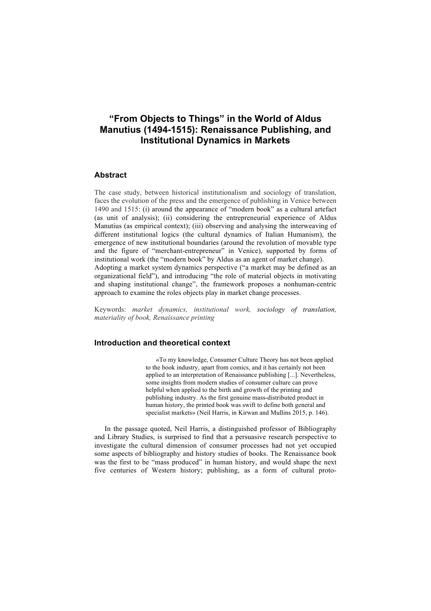# **"From Objects to Things" in the World of Aldus Manutius (1494-1515): Renaissance Publishing, and Institutional Dynamics in Markets**

### **Abstract**

The case study, between historical institutionalism and sociology of translation, faces the evolution of the press and the emergence of publishing in Venice between 1490 and 1515: (i) around the appearance of "modern book" as a cultural artefact (as unit of analysis); (ii) considering the entrepreneurial experience of Aldus Manutius (as empirical context); (iii) observing and analysing the interweaving of different institutional logics (the cultural dynamics of Italian Humanism), the emergence of new institutional boundaries (around the revolution of movable type and the figure of "merchant-entrepreneur" in Venice), supported by forms of institutional work (the "modern book" by Aldus as an agent of market change). Adopting a market system dynamics perspective ("a market may be defined as an organizational field"), and introducing "the role of material objects in motivating and shaping institutional change", the framework proposes a nonhuman-centric approach to examine the roles objects play in market change processes.

Keywords: *market dynamics, institutional work, sociology of translation, materiality of book, Renaissance printing*

# **Introduction and theoretical context**

«To my knowledge, Consumer Culture Theory has not been applied to the book industry, apart from comics, and it has certainly not been applied to an interpretation of Renaissance publishing [...]. Nevertheless, some insights from modern studies of consumer culture can prove helpful when applied to the birth and growth of the printing and publishing industry. As the first genuine mass-distributed product in human history, the printed book was swift to define both general and specialist markets» (Neil Harris, in Kirwan and Mullins 2015, p. 146).

In the passage quoted, Neil Harris, a distinguished professor of Bibliography and Library Studies, is surprised to find that a persuasive research perspective to investigate the cultural dimension of consumer processes had not yet occupied some aspects of bibliography and history studies of books. The Renaissance book was the first to be "mass produced" in human history, and would shape the next five centuries of Western history; publishing, as a form of cultural proto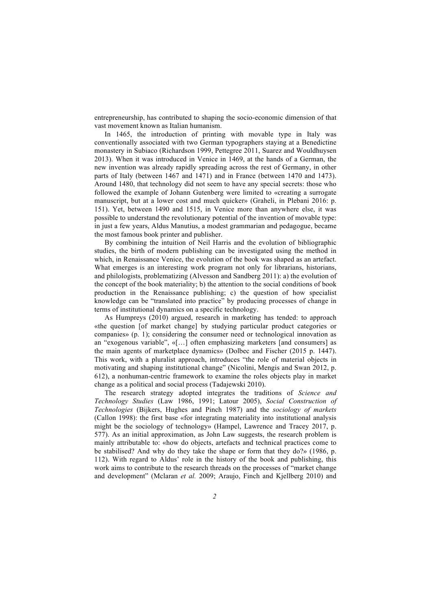entrepreneurship, has contributed to shaping the socio-economic dimension of that vast movement known as Italian humanism.

In 1465, the introduction of printing with movable type in Italy was conventionally associated with two German typographers staying at a Benedictine monastery in Subiaco (Richardson 1999, Pettegree 2011, Suarez and Wouldhuysen 2013). When it was introduced in Venice in 1469, at the hands of a German, the new invention was already rapidly spreading across the rest of Germany, in other parts of Italy (between 1467 and 1471) and in France (between 1470 and 1473). Around 1480, that technology did not seem to have any special secrets: those who followed the example of Johann Gutenberg were limited to «creating a surrogate manuscript, but at a lower cost and much quicker» (Graheli, in Plebani 2016: p. 151). Yet, between 1490 and 1515, in Venice more than anywhere else, it was possible to understand the revolutionary potential of the invention of movable type: in just a few years, Aldus Manutius, a modest grammarian and pedagogue, became the most famous book printer and publisher.

By combining the intuition of Neil Harris and the evolution of bibliographic studies, the birth of modern publishing can be investigated using the method in which, in Renaissance Venice, the evolution of the book was shaped as an artefact. What emerges is an interesting work program not only for librarians, historians, and philologists, problematizing (Alvesson and Sandberg 2011): a) the evolution of the concept of the book materiality; b) the attention to the social conditions of book production in the Renaissance publishing; c) the question of how specialist knowledge can be "translated into practice" by producing processes of change in terms of institutional dynamics on a specific technology.

As Humpreys (2010) argued, research in marketing has tended: to approach «the question [of market change] by studying particular product categories or companies» (p. 1); considering the consumer need or technological innovation as an "exogenous variable", «[…] often emphasizing marketers [and consumers] as the main agents of marketplace dynamics» (Dolbec and Fischer (2015 p. 1447). This work, with a pluralist approach, introduces "the role of material objects in motivating and shaping institutional change" (Nicolini, Mengis and Swan 2012, p. 612), a nonhuman-centric framework to examine the roles objects play in market change as a political and social process (Tadajewski 2010).

The research strategy adopted integrates the traditions of *Science and Technology Studies* (Law 1986, 1991; Latour 2005), *Social Construction of Technologies* (Bijkers, Hughes and Pinch 1987) and the *sociology of markets* (Callon 1998): the first base «for integrating materiality into institutional analysis might be the sociology of technology» (Hampel, Lawrence and Tracey 2017, p. 577). As an initial approximation, as John Law suggests, the research problem is mainly attributable to: «how do objects, artefacts and technical practices come to be stabilised? And why do they take the shape or form that they do?» (1986, p. 112). With regard to Aldus' role in the history of the book and publishing, this work aims to contribute to the research threads on the processes of "market change and development" (Mclaran *et al.* 2009; Araujo, Finch and Kjellberg 2010) and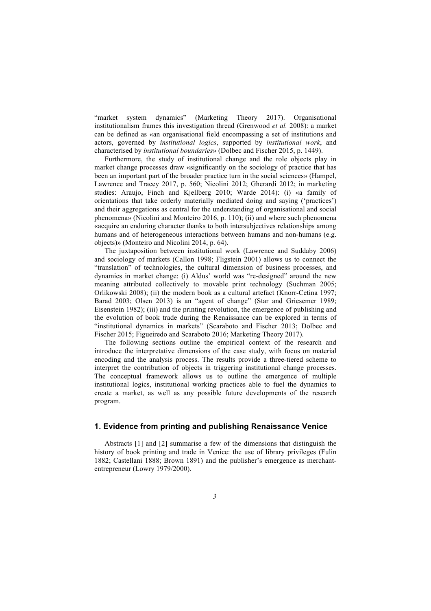"market system dynamics" (Marketing Theory 2017). Organisational institutionalism frames this investigation thread (Grenwood *et al.* 2008): a market can be defined as «an organisational field encompassing a set of institutions and actors, governed by *institutional logics*, supported by *institutional work*, and characterised by *institutional boundaries*» (Dolbec and Fischer 2015, p. 1449).

Furthermore, the study of institutional change and the role objects play in market change processes draw «significantly on the sociology of practice that has been an important part of the broader practice turn in the social sciences» (Hampel, Lawrence and Tracey 2017, p. 560; Nicolini 2012; Gherardi 2012; in marketing studies: Araujo, Finch and Kjellberg 2010; Warde 2014): (i) «a family of orientations that take orderly materially mediated doing and saying ('practices') and their aggregations as central for the understanding of organisational and social phenomena» (Nicolini and Monteiro 2016, p. 110); (ii) and where such phenomena «acquire an enduring character thanks to both intersubjectives relationships among humans and of heterogeneous interactions between humans and non-humans (e.g. objects)» (Monteiro and Nicolini 2014, p. 64).

The juxtaposition between institutional work (Lawrence and Suddaby 2006) and sociology of markets (Callon 1998; Fligstein 2001) allows us to connect the "translation" of technologies, the cultural dimension of business processes, and dynamics in market change: (i) Aldus' world was "re-designed" around the new meaning attributed collectively to movable print technology (Suchman 2005; Orlikowski 2008); (ii) the modern book as a cultural artefact (Knorr-Cetina 1997; Barad 2003; Olsen 2013) is an "agent of change" (Star and Griesemer 1989; Eisenstein 1982); (iii) and the printing revolution, the emergence of publishing and the evolution of book trade during the Renaissance can be explored in terms of "institutional dynamics in markets" (Scaraboto and Fischer 2013; Dolbec and Fischer 2015; Figueiredo and Scaraboto 2016; Marketing Theory 2017).

The following sections outline the empirical context of the research and introduce the interpretative dimensions of the case study, with focus on material encoding and the analysis process. The results provide a three-tiered scheme to interpret the contribution of objects in triggering institutional change processes. The conceptual framework allows us to outline the emergence of multiple institutional logics, institutional working practices able to fuel the dynamics to create a market, as well as any possible future developments of the research program.

## **1. Evidence from printing and publishing Renaissance Venice**

Abstracts [1] and [2] summarise a few of the dimensions that distinguish the history of book printing and trade in Venice: the use of library privileges (Fulin 1882; Castellani 1888; Brown 1891) and the publisher's emergence as merchantentrepreneur (Lowry 1979/2000).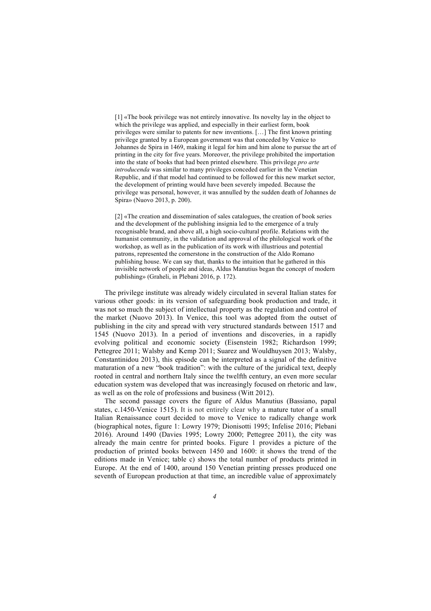[1] «The book privilege was not entirely innovative. Its novelty lay in the object to which the privilege was applied, and especially in their earliest form, book privileges were similar to patents for new inventions. […] The first known printing privilege granted by a European government was that conceded by Venice to Johannes de Spira in 1469, making it legal for him and him alone to pursue the art of printing in the city for five years. Moreover, the privilege prohibited the importation into the state of books that had been printed elsewhere. This privilege *pro arte introducenda* was similar to many privileges conceded earlier in the Venetian Republic, and if that model had continued to be followed for this new market sector, the development of printing would have been severely impeded. Because the privilege was personal, however, it was annulled by the sudden death of Johannes de Spira» (Nuovo 2013, p. 200).

[2] «The creation and dissemination of sales catalogues, the creation of book series and the development of the publishing insignia led to the emergence of a truly recognisable brand, and above all, a high socio-cultural profile. Relations with the humanist community, in the validation and approval of the philological work of the workshop, as well as in the publication of its work with illustrious and potential patrons, represented the cornerstone in the construction of the Aldo Romano publishing house. We can say that, thanks to the intuition that he gathered in this invisible network of people and ideas, Aldus Manutius began the concept of modern publishing» (Graheli, in Plebani 2016, p. 172).

The privilege institute was already widely circulated in several Italian states for various other goods: in its version of safeguarding book production and trade, it was not so much the subject of intellectual property as the regulation and control of the market (Nuovo 2013). In Venice, this tool was adopted from the outset of publishing in the city and spread with very structured standards between 1517 and 1545 (Nuovo 2013). In a period of inventions and discoveries, in a rapidly evolving political and economic society (Eisenstein 1982; Richardson 1999; Pettegree 2011; Walsby and Kemp 2011; Suarez and Wouldhuysen 2013; Walsby, Constantinidou 2013), this episode can be interpreted as a signal of the definitive maturation of a new "book tradition": with the culture of the juridical text, deeply rooted in central and northern Italy since the twelfth century, an even more secular education system was developed that was increasingly focused on rhetoric and law, as well as on the role of professions and business (Witt 2012).

The second passage covers the figure of Aldus Manutius (Bassiano, papal states, c.1450-Venice 1515). It is not entirely clear why a mature tutor of a small Italian Renaissance court decided to move to Venice to radically change work (biographical notes, figure 1: Lowry 1979; Dionisotti 1995; Infelise 2016; Plebani 2016). Around 1490 (Davies 1995; Lowry 2000; Pettegree 2011), the city was already the main centre for printed books. Figure 1 provides a picture of the production of printed books between 1450 and 1600: it shows the trend of the editions made in Venice; table c) shows the total number of products printed in Europe. At the end of 1400, around 150 Venetian printing presses produced one seventh of European production at that time, an incredible value of approximately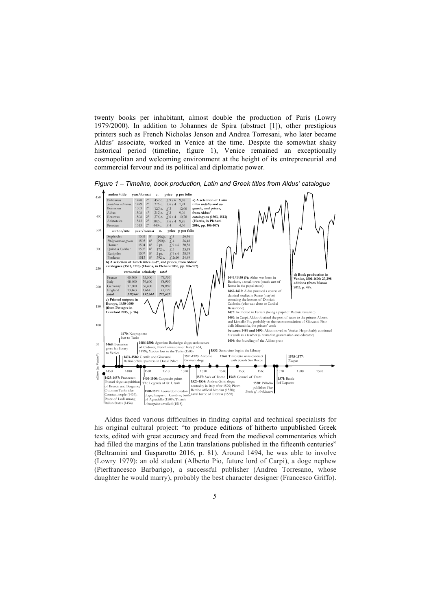twenty books per inhabitant, almost double the production of Paris (Lowry 1979/2000). In addition to Johannes de Spira (abstract [1]), other prestigious printers such as French Nicholas Jenson and Andrea Torresani, who later became Aldus' associate, worked in Venice at the time. Despite the somewhat shaky historical period (timeline, figure 1), Venice remained an exceptionally cosmopolitan and welcoming environment at the height of its entrepreneurial and commercial fervour and its political and diplomatic power.

*Figure 1 – Timeline, book production, Latin and Greek titles from Aldus' catalogue*



Aldus faced various difficulties in finding capital and technical specialists for his original cultural project: "to produce editions of hitherto unpublished Greek texts, edited with great accuracy and freed from the medieval commentaries which had filled the margins of the Latin translations published in the fifteenth centuries" (Beltramini and Gasparotto 2016, p. 81). Around 1494, he was able to involve (Lowry 1979): an old student (Alberto Pio, future lord of Carpi), a doge nephew (Pierfrancesco Barbarigo), a successful publisher (Andrea Torresano, whose daughter he would marry), probably the best character designer (Francesco Griffo).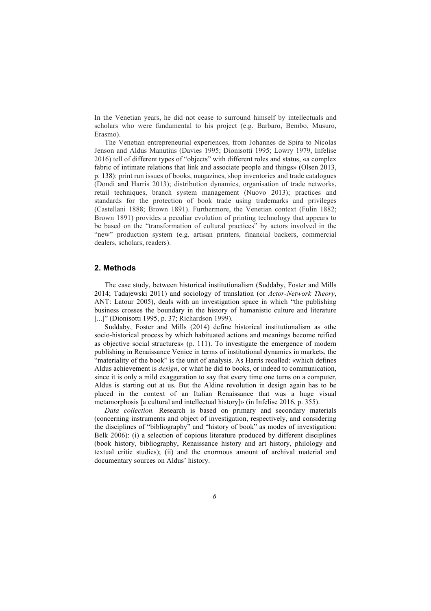In the Venetian years, he did not cease to surround himself by intellectuals and scholars who were fundamental to his project (e.g. Barbaro, Bembo, Musuro, Erasmo).

The Venetian entrepreneurial experiences, from Johannes de Spira to Nicolas Jenson and Aldus Manutius (Davies 1995; Dionisotti 1995; Lowry 1979, Infelise 2016) tell of different types of "objects" with different roles and status, «a complex fabric of intimate relations that link and associate people and things» (Olsen 2013, p. 138): print run issues of books, magazines, shop inventories and trade catalogues (Dondi and Harris 2013); distribution dynamics, organisation of trade networks, retail techniques, branch system management (Nuovo 2013); practices and standards for the protection of book trade using trademarks and privileges (Castellani 1888; Brown 1891). Furthermore, the Venetian context (Fulin 1882; Brown 1891) provides a peculiar evolution of printing technology that appears to be based on the "transformation of cultural practices" by actors involved in the "new" production system (e.g. artisan printers, financial backers, commercial dealers, scholars, readers).

### **2. Methods**

The case study, between historical institutionalism (Suddaby, Foster and Mills 2014; Tadajewski 2011) and sociology of translation (or *Actor-Network Theory*, ANT: Latour 2005), deals with an investigation space in which "the publishing business crosses the boundary in the history of humanistic culture and literature [...]" (Dionisotti 1995, p. 37; Richardson 1999).

Suddaby, Foster and Mills (2014) define historical institutionalism as «the socio-historical process by which habituated actions and meanings become reified as objective social structures» (p. 111). To investigate the emergence of modern publishing in Renaissance Venice in terms of institutional dynamics in markets, the "materiality of the book" is the unit of analysis. As Harris recalled: «which defines Aldus achievement is *design*, or what he did to books, or indeed to communication, since it is only a mild exaggeration to say that every time one turns on a computer, Aldus is starting out at us. But the Aldine revolution in design again has to be placed in the context of an Italian Renaissance that was a huge visual metamorphosis [a cultural and intellectual history]» (in Infelise 2016, p. 355).

*Data collection.* Research is based on primary and secondary materials (concerning instruments and object of investigation, respectively, and considering the disciplines of "bibliography" and "history of book" as modes of investigation: Belk 2006): (i) a selection of copious literature produced by different disciplines (book history, bibliography, Renaissance history and art history, philology and textual critic studies); (ii) and the enormous amount of archival material and documentary sources on Aldus' history.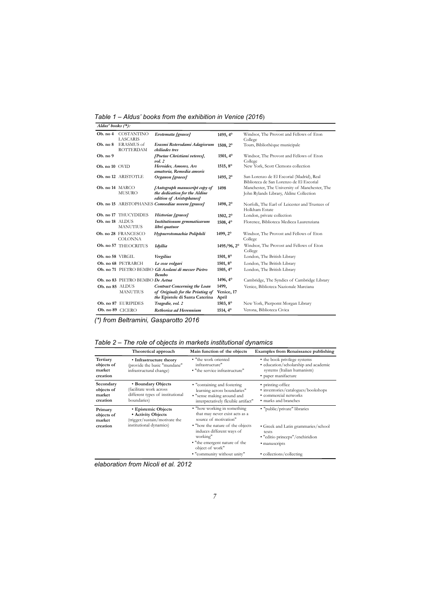*Table 1 – Aldus' books from the exhibition in Venice (2016*)

| $A$ ldus' books $(*)$ : |                                       |                                                                                                           |                              |                                                                                          |  |  |  |
|-------------------------|---------------------------------------|-----------------------------------------------------------------------------------------------------------|------------------------------|------------------------------------------------------------------------------------------|--|--|--|
| Ob. no 4                | COSTANTINO                            | Erotemata [graece]                                                                                        | 1495, 4°                     | Windsor, The Provost and Fellows of Eton                                                 |  |  |  |
|                         | <b>LASCARIS</b>                       |                                                                                                           |                              | College                                                                                  |  |  |  |
| Ob. no 8                | <b>ERASMUS</b> of<br><b>ROTTERDAM</b> | Erasmi Roterodami Adagiorum<br>chiliades tres                                                             | 1508, 2°                     | Tours, Bibliothèque municipale                                                           |  |  |  |
| Ob. no 9                |                                       | [Poetae Christiani veteres],<br>vol.2                                                                     | 1501, 4°                     | Windsor, The Provost and Fellows of Eton<br>College                                      |  |  |  |
| Ob. no 10 OVID          |                                       | Heroides, Amores, Ars<br>amatoria, Remedia amoris                                                         | 1515, 8°                     | New York, Scott Clemons collection                                                       |  |  |  |
|                         | Ob. no 12 ARISTOTLE                   | Organon [graece]                                                                                          | 1495, 2°                     | San Lorenzo de El Escorial (Madrid), Real<br>Biblioteca de San Lorenzo de El Escorial    |  |  |  |
| Ob. no 14 MARCO         | <b>MUSURO</b>                         | [Autograph manuscript copy of<br>the dedication for the Aldine<br>edition of Aristophanes]                | 1498                         | Manchester, The University of Manchester, The<br>John Rylands Library, Aldine Collection |  |  |  |
|                         |                                       | Ob. no 15 ARISTOPHANES Comoediae novem [graece]                                                           | 1498, 2°                     | Norfolk, The Earl of Leicester and Trustees of<br>Holkham Estate                         |  |  |  |
|                         | Ob. no 17 THUCYDIDES                  | Historiae [graece]                                                                                        | 1502, 2°                     | London, private collection                                                               |  |  |  |
| Ob. no 18 ALDUS         | <b>MANUTIUS</b>                       | Institutionum grmmaticarum<br>libri quatuor                                                               | $1508, 4^{\circ}$            | Florence, Biblioteca Medicea Laurenziana                                                 |  |  |  |
|                         | Ob. no 28 FRANCESCO<br><b>COLONNA</b> | Hypnerotomachia Poliphili                                                                                 | 1499, 2°                     | Windsor, The Provost and Fellows of Eton<br>College                                      |  |  |  |
|                         | Ob. no 57 THEOCRITUS                  | Idyllia                                                                                                   | 1495/96, 2°                  | Windsor, The Provost and Fellows of Eton<br>College                                      |  |  |  |
| Ob. no 58 VIRGIL        |                                       | Vergilius                                                                                                 | 1501, 8°                     | London, The British Library                                                              |  |  |  |
|                         | Ob. no 68 PETRARCH                    | Le cose volgari                                                                                           | 1501, 8°                     | London, The British Library                                                              |  |  |  |
|                         |                                       | Ob. no 71 PIETRO BEMBO Gli Asolani di messer Pietro<br><b>Bembo</b>                                       | 1505, 4°                     | London, The British Library                                                              |  |  |  |
|                         | Ob. no 83 PIETRO BEMBO De Aetna       |                                                                                                           | 1496, 4°                     | Cambridge, The Syndics of Cambridge Library                                              |  |  |  |
| Ob. no 85 ALDUS         | <b>MANUTIUS</b>                       | <b>Contract Concerning the Loan</b><br>of Originals for the Printing of<br>the Epistole di Santa Caterina | 1499,<br>Venice, 17<br>April | Venice, Biblioteca Nazionale Marciana                                                    |  |  |  |
|                         | Ob. no 87 EURIPIDES                   | Tragedie, vol. 2                                                                                          | 1503, 8°                     | New York, Pierpomt Morgan Library                                                        |  |  |  |
| Ob. no 89 CICERO        |                                       | Rethorica ad Herennium                                                                                    | 1514, 4°                     | Verona, Biblioteca Civica                                                                |  |  |  |

*(\*) from Beltramini, Gasparotto 2016*

| Table 2 - The role of objects in markets institutional dynamics |  |  |  |
|-----------------------------------------------------------------|--|--|--|
|-----------------------------------------------------------------|--|--|--|

|                                               | Theoretical approach                                                                             | Main function of the objects                                                                                                    | <b>Examples from Renaissance publishing</b>                                                                               |
|-----------------------------------------------|--------------------------------------------------------------------------------------------------|---------------------------------------------------------------------------------------------------------------------------------|---------------------------------------------------------------------------------------------------------------------------|
| Tertiary<br>objects of<br>market<br>creation  | • Infrastructure theory<br>(provide the basic "mundane"<br>infrastructural change)               | • "the work oriented<br>infrastructure"<br>• "the service infrastructure"                                                       | • the book privilege systems<br>· education/scholarship and academic<br>systems (Italian humanism)<br>• paper manifacture |
| Secondary<br>objects of<br>market<br>creation | • Boundary Objects<br>facilitate work across)<br>different types of institutional<br>boundaries) | • "containing and fostering<br>learning across boundaries"<br>· "sense making around and<br>interpretatively flexible artifact" | • printing-office<br>· inventories/catalogues/bookshops<br>• commercial networks<br>• marks and branches                  |
| Primary<br>objects of<br>market               | • Epistemic Objects<br>• Activity Objects<br>(trigger/sustain/motivate the                       | • "how working in something<br>that may never exist acts as a<br>source of motivation"                                          | · "public/private" libraries                                                                                              |
| creation                                      | institutional dynamics)                                                                          | • "how the nature of the objects"<br>induces different ways of<br>working"<br>• "the emergent nature of the                     | • Greek and Latin grammaries/school<br>texts<br>· "editio princeps"/enchiridion<br>· manuscripts                          |
|                                               |                                                                                                  | object of work"<br>• "community without unity"                                                                                  | • collections/collecting                                                                                                  |

*elaboration from Nicoli et al. 2012*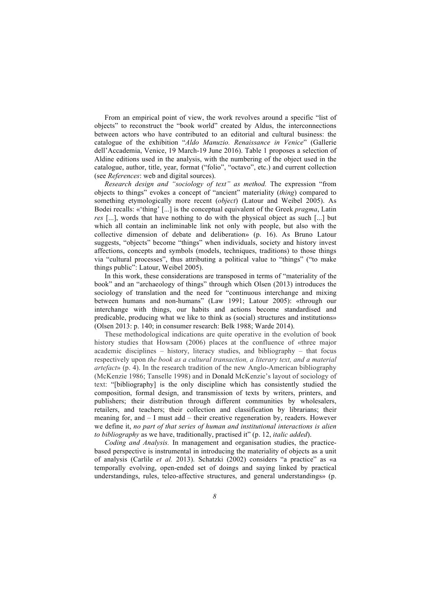From an empirical point of view, the work revolves around a specific "list of objects" to reconstruct the "book world" created by Aldus, the interconnections between actors who have contributed to an editorial and cultural business: the catalogue of the exhibition "*Aldo Manuzio. Renaissance in Venice*" (Gallerie dell'Accademia, Venice, 19 March-19 June 2016). Table 1 proposes a selection of Aldine editions used in the analysis, with the numbering of the object used in the catalogue, author, title, year, format ("folio", "octavo", etc.) and current collection (see *References*: web and digital sources).

*Research design and "sociology of text" as method.* The expression "from objects to things" evokes a concept of "ancient" materiality (*thing*) compared to something etymologically more recent (*object*) (Latour and Weibel 2005). As Bodei recalls: «'thing' [...] is the conceptual equivalent of the Greek *pragma*, Latin *res* [...], words that have nothing to do with the physical object as such [...] but which all contain an ineliminable link not only with people, but also with the collective dimension of debate and deliberation» (p. 16). As Bruno Latour suggests, "objects" become "things" when individuals, society and history invest affections, concepts and symbols (models, techniques, traditions) to those things via "cultural processes", thus attributing a political value to "things" ("to make things public": Latour, Weibel 2005).

In this work, these considerations are transposed in terms of "materiality of the book" and an "archaeology of things" through which Olsen (2013) introduces the sociology of translation and the need for "continuous interchange and mixing between humans and non-humans" (Law 1991; Latour 2005): «through our interchange with things, our habits and actions become standardised and predicable, producing what we like to think as (social) structures and institutions» (Olsen 2013: p. 140; in consumer research: Belk 1988; Warde 2014).

These methodological indications are quite operative in the evolution of book history studies that Howsam (2006) places at the confluence of «three major academic disciplines – history, literacy studies, and bibliography – that focus respectively upon *the book as a cultural transaction, a literary text, and a material artefact*» (p. 4). In the research tradition of the new Anglo-American bibliography (McKenzie 1986; Tanselle 1998) and in Donald McKenzie's layout of sociology of text: "[bibliography] is the only discipline which has consistently studied the composition, formal design, and transmission of texts by writers, printers, and publishers; their distribution through different communities by wholesalers, retailers, and teachers; their collection and classification by librarians; their meaning for, and – I must add – their creative regeneration by, readers. However we define it, *no part of that series of human and institutional interactions is alien to bibliography* as we have, traditionally, practised it" (p. 12, *italic added*).

*Coding and Analysis.* In management and organisation studies, the practicebased perspective is instrumental in introducing the materiality of objects as a unit of analysis (Carlile *et al.* 2013). Schatzki (2002) considers "a practice" as «a temporally evolving, open-ended set of doings and saying linked by practical understandings, rules, teleo-affective structures, and general understandings» (p.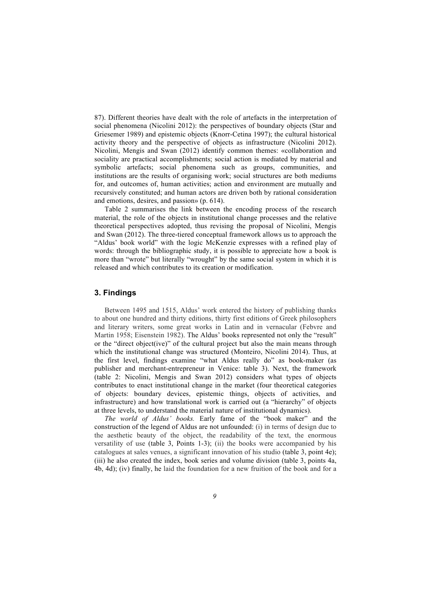87). Different theories have dealt with the role of artefacts in the interpretation of social phenomena (Nicolini 2012): the perspectives of boundary objects (Star and Griesemer 1989) and epistemic objects (Knorr-Cetina 1997); the cultural historical activity theory and the perspective of objects as infrastructure (Nicolini 2012). Nicolini, Mengis and Swan (2012) identify common themes: «collaboration and sociality are practical accomplishments; social action is mediated by material and symbolic artefacts; social phenomena such as groups, communities, and institutions are the results of organising work; social structures are both mediums for, and outcomes of, human activities; action and environment are mutually and recursively constituted; and human actors are driven both by rational consideration and emotions, desires, and passion» (p. 614).

Table 2 summarises the link between the encoding process of the research material, the role of the objects in institutional change processes and the relative theoretical perspectives adopted, thus revising the proposal of Nicolini, Mengis and Swan (2012). The three-tiered conceptual framework allows us to approach the "Aldus' book world" with the logic McKenzie expresses with a refined play of words: through the bibliographic study, it is possible to appreciate how a book is more than "wrote" but literally "wrought" by the same social system in which it is released and which contributes to its creation or modification.

#### **3. Findings**

Between 1495 and 1515, Aldus' work entered the history of publishing thanks to about one hundred and thirty editions, thirty first editions of Greek philosophers and literary writers, some great works in Latin and in vernacular (Febvre and Martin 1958; Eisenstein 1982). The Aldus' books represented not only the "result" or the "direct object(ive)" of the cultural project but also the main means through which the institutional change was structured (Monteiro, Nicolini 2014). Thus, at the first level, findings examine "what Aldus really do" as book-maker (as publisher and merchant-entrepreneur in Venice: table 3). Next, the framework (table 2: Nicolini, Mengis and Swan 2012) considers what types of objects contributes to enact institutional change in the market (four theoretical categories of objects: boundary devices, epistemic things, objects of activities, and infrastructure) and how translational work is carried out (a "hierarchy" of objects at three levels, to understand the material nature of institutional dynamics).

*The world of Aldus' books.* Early fame of the "book maker" and the construction of the legend of Aldus are not unfounded: (i) in terms of design due to the aesthetic beauty of the object, the readability of the text, the enormous versatility of use (table 3, Points 1-3); (ii) the books were accompanied by his catalogues at sales venues, a significant innovation of his studio (table 3, point 4e); (iii) he also created the index, book series and volume division (table 3, points 4a, 4b, 4d); (iv) finally, he laid the foundation for a new fruition of the book and for a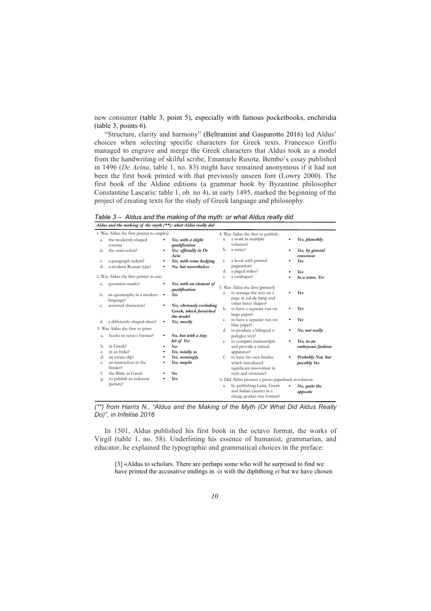new consumer (table 3, point 5), especially with famous pocketbooks, enchiridia (table 3, points 6).

"Structure, clarity and harmony" (Beltramini and Gasparotto 2016) led Aldus' choices when selecting specific characters for Greek texts. Francesco Griffo managed to engrave and merge the Greek characters that Aldus took as a model from the handwriting of skilful scribe, Emanuele Rusota. Bembo's essay published in 1496 (*De Aetna*, table 1, no. 83) might have remained anonymous if it had not been the first book printed with that previously unseen font (Lowry 2000). The first book of the Aldine editions (a grammar book by Byzantine philosopher Constantine Lascaris: table 1, ob. no 4), in early 1495, marked the beginning of the project of creating texts for the study of Greek language and philosophy.

*Table 3 – Aldus and the making of the myth: or what Aldus really did*

|  |  | Aldus and the making of the myth (**): what Aldus really dia |  |  |
|--|--|--------------------------------------------------------------|--|--|

| 1. Was Aldus the first printer to employ:<br>4. Was Aldus the first to publish: |                                        |    |                          |    |                                                    |  |                   |  |
|---------------------------------------------------------------------------------|----------------------------------------|----|--------------------------|----|----------------------------------------------------|--|-------------------|--|
| a.                                                                              | the modernly-shaped                    |    | Yes, with a slight       | a. | a work in multiple                                 |  | Yes, plausibly    |  |
|                                                                                 | comma                                  |    | qualification            |    | volumes?                                           |  |                   |  |
| Ъ.                                                                              | the semi-colon?                        | ٠  | Yes, officially in De    | Ъ. | a series?                                          |  | Yes, by general   |  |
|                                                                                 |                                        |    | Aeta                     |    |                                                    |  | consensus         |  |
| c.                                                                              | a paragraph indent?                    | ٠  | Yes, with some hedging   | c. | a book with printed                                |  | Yes               |  |
| d.                                                                              | a modern Roman type?                   |    | No, but nevertheless     |    | pagination?                                        |  |                   |  |
|                                                                                 |                                        |    |                          | d. | a paged index?                                     |  | Yes               |  |
|                                                                                 | 2. Was Aldus the first printer to use: |    |                          | e. | a catalogue?                                       |  | In a sense, Yes   |  |
| a.                                                                              | quotation marks?                       |    | Yes, with an element of  |    |                                                    |  |                   |  |
|                                                                                 |                                        |    | qualification            |    | 5. Was Aldus the first [printer]:                  |  |                   |  |
| b.                                                                              | an apostrophe in a modern              |    | Yes                      | a. | to arrange the text on a                           |  | Yes               |  |
|                                                                                 | language?                              |    |                          |    | page in cul-de-lamp and                            |  |                   |  |
| c.                                                                              | accented characters?                   |    | Yes, obviously excluding |    | other fancy shapes?                                |  |                   |  |
|                                                                                 |                                        |    | Greek, which furnished   | b. | to have a separate run on                          |  | Yes               |  |
|                                                                                 |                                        |    | the model                |    | large paper?                                       |  |                   |  |
| d.                                                                              | a differently-shaped sheet?            | ٠  | Yes, mostly              | c. | to have a separate run on                          |  | Yes               |  |
|                                                                                 |                                        |    |                          |    | blue paper?                                        |  |                   |  |
| 3. Was Aldus the first to print:                                                |                                        | d. | to produce a bilingual o |    | No, not really                                     |  |                   |  |
| a.                                                                              | books in octavo format?                | ٠  | No, but with a tiny      |    | polyglot text?                                     |  |                   |  |
|                                                                                 |                                        |    | bit of Yes               | e. | to compare manuscripts                             |  | Yes, in an        |  |
| Ъ.                                                                              | in Greek?                              | ٠  | $N_{0}$                  |    | and provide a critical                             |  | embryonic fashion |  |
| c.                                                                              | in an Italic?                          |    | Yes, totally so          |    | apparatus?                                         |  |                   |  |
| d.                                                                              | an errata slip?                        |    | Yes, seemingly           | f. | to have his own binder,                            |  | Probably Not, but |  |
| e.                                                                              | an instruction to the                  |    | Yes, maybe               |    | which introduced                                   |  | possibly Yes      |  |
|                                                                                 | binder?                                |    |                          |    | significant innovation in                          |  |                   |  |
| f.                                                                              | the Bible in Greek                     |    | No                       |    | style and structure?                               |  |                   |  |
| g.                                                                              | to publish an indecent                 |    | Yes                      |    | 6. Did Aldus pioneer a proto-paperback revolution: |  |                   |  |
|                                                                                 | picture?                               |    |                          | a. | by publishing Latin, Greek                         |  |                   |  |
|                                                                                 |                                        |    |                          |    | and Italian classics in a                          |  | No, quite the     |  |
|                                                                                 |                                        |    |                          |    |                                                    |  | opposite          |  |
|                                                                                 |                                        |    |                          |    | cheap, pocket-size format?                         |  |                   |  |

*(\*\*) from Harris N., "Aldus and the Making of the Myth (Or What Did Aldus Really Do)", in Infelise 2016*

In 1501, Aldus published his first book in the octavo format, the works of Virgil (table 1, no. 58). Underlining his essence of humanist, grammarian, and educator, he explained the typographic and grammatical choices in the preface:

[3] «Aldus to scholars. There are perhaps some who will be surprised to find we have printed the accusative endings in *-is* with the diphthong *ei* but we have chosen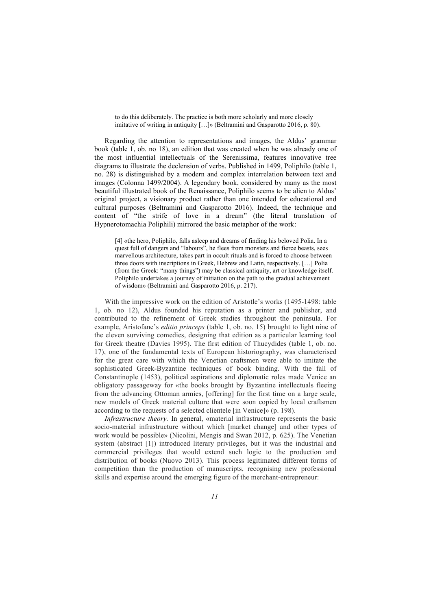to do this deliberately. The practice is both more scholarly and more closely imitative of writing in antiquity […]» (Beltramini and Gasparotto 2016, p. 80).

Regarding the attention to representations and images, the Aldus' grammar book (table 1, ob. no 18), an edition that was created when he was already one of the most influential intellectuals of the Serenissima, features innovative tree diagrams to illustrate the declension of verbs. Published in 1499, Poliphilo (table 1, no. 28) is distinguished by a modern and complex interrelation between text and images (Colonna 1499/2004). A legendary book, considered by many as the most beautiful illustrated book of the Renaissance, Poliphilo seems to be alien to Aldus' original project, a visionary product rather than one intended for educational and cultural purposes (Beltramini and Gasparotto 2016). Indeed, the technique and content of "the strife of love in a dream" (the literal translation of Hypnerotomachia Poliphili) mirrored the basic metaphor of the work:

[4] «the hero, Poliphilo, falls asleep and dreams of finding his beloved Polia. In a quest full of dangers and "labours", he flees from monsters and fierce beasts, sees marvellous architecture, takes part in occult rituals and is forced to choose between three doors with inscriptions in Greek, Hebrew and Latin, respectively. […] Polia (from the Greek: "many things") may be classical antiquity, art or knowledge itself. Poliphilo undertakes a journey of initiation on the path to the gradual achievement of wisdom» (Beltramini and Gasparotto 2016, p. 217).

With the impressive work on the edition of Aristotle's works (1495-1498: table 1, ob. no 12), Aldus founded his reputation as a printer and publisher, and contributed to the refinement of Greek studies throughout the peninsula. For example, Aristofane's *editio princeps* (table 1, ob. no. 15) brought to light nine of the eleven surviving comedies, designing that edition as a particular learning tool for Greek theatre (Davies 1995). The first edition of Thucydides (table 1, ob. no. 17), one of the fundamental texts of European historiography, was characterised for the great care with which the Venetian craftsmen were able to imitate the sophisticated Greek-Byzantine techniques of book binding. With the fall of Constantinople (1453), political aspirations and diplomatic roles made Venice an obligatory passageway for «the books brought by Byzantine intellectuals fleeing from the advancing Ottoman armies, [offering] for the first time on a large scale, new models of Greek material culture that were soon copied by local craftsmen according to the requests of a selected clientele [in Venice]» (p. 198).

*Infrastructure theory*. In general, «material infrastructure represents the basic socio-material infrastructure without which [market change] and other types of work would be possible» (Nicolini, Mengis and Swan 2012, p. 625). The Venetian system (abstract [1]) introduced literary privileges, but it was the industrial and commercial privileges that would extend such logic to the production and distribution of books (Nuovo 2013). This process legitimated different forms of competition than the production of manuscripts, recognising new professional skills and expertise around the emerging figure of the merchant-entrepreneur: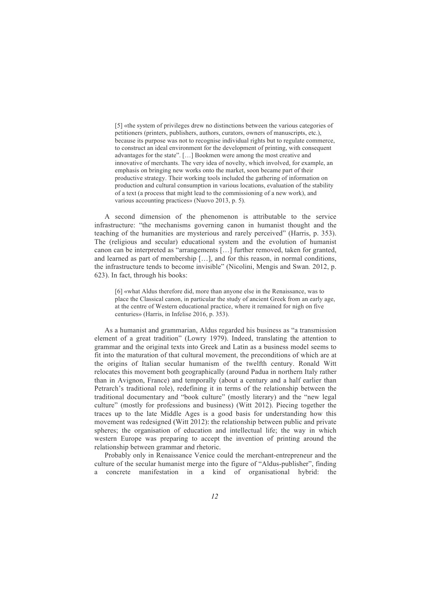[5] «the system of privileges drew no distinctions between the various categories of petitioners (printers, publishers, authors, curators, owners of manuscripts, etc.), because its purpose was not to recognise individual rights but to regulate commerce, to construct an ideal environment for the development of printing, with consequent advantages for the state". […] Bookmen were among the most creative and innovative of merchants. The very idea of novelty, which involved, for example, an emphasis on bringing new works onto the market, soon became part of their productive strategy. Their working tools included the gathering of information on production and cultural consumption in various locations, evaluation of the stability of a text (a process that might lead to the commissioning of a new work), and various accounting practices» (Nuovo 2013, p. 5).

A second dimension of the phenomenon is attributable to the service infrastructure: "the mechanisms governing canon in humanist thought and the teaching of the humanities are mysterious and rarely perceived" (Harris, p. 353). The (religious and secular) educational system and the evolution of humanist canon can be interpreted as "arrangements […] further removed, taken for granted, and learned as part of membership […], and for this reason, in normal conditions, the infrastructure tends to become invisible" (Nicolini, Mengis and Swan*.* 2012, p. 623). In fact, through his books:

[6] «what Aldus therefore did, more than anyone else in the Renaissance, was to place the Classical canon, in particular the study of ancient Greek from an early age, at the centre of Western educational practice, where it remained for nigh on five centuries» (Harris, in Infelise 2016, p. 353).

As a humanist and grammarian, Aldus regarded his business as "a transmission element of a great tradition" (Lowry 1979). Indeed, translating the attention to grammar and the original texts into Greek and Latin as a business model seems to fit into the maturation of that cultural movement, the preconditions of which are at the origins of Italian secular humanism of the twelfth century. Ronald Witt relocates this movement both geographically (around Padua in northern Italy rather than in Avignon, France) and temporally (about a century and a half earlier than Petrarch's traditional role), redefining it in terms of the relationship between the traditional documentary and "book culture" (mostly literary) and the "new legal culture" (mostly for professions and business) (Witt 2012). Piecing together the traces up to the late Middle Ages is a good basis for understanding how this movement was redesigned (Witt 2012): the relationship between public and private spheres; the organisation of education and intellectual life; the way in which western Europe was preparing to accept the invention of printing around the relationship between grammar and rhetoric.

Probably only in Renaissance Venice could the merchant-entrepreneur and the culture of the secular humanist merge into the figure of "Aldus-publisher", finding a concrete manifestation in a kind of organisational hybrid: the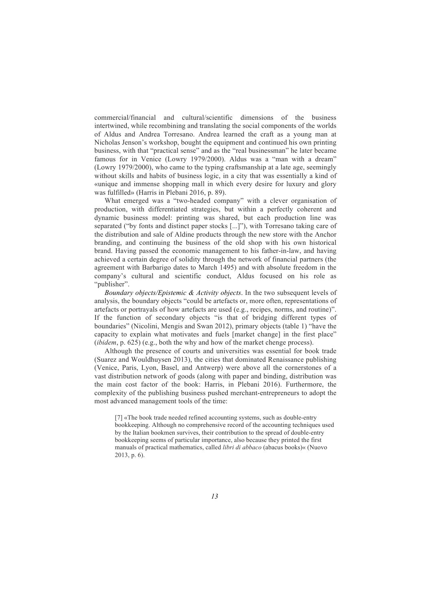commercial/financial and cultural/scientific dimensions of the business intertwined, while recombining and translating the social components of the worlds of Aldus and Andrea Torresano. Andrea learned the craft as a young man at Nicholas Jenson's workshop, bought the equipment and continued his own printing business, with that "practical sense" and as the "real businessman" he later became famous for in Venice (Lowry 1979/2000). Aldus was a "man with a dream" (Lowry 1979/2000), who came to the typing craftsmanship at a late age, seemingly without skills and habits of business logic, in a city that was essentially a kind of «unique and immense shopping mall in which every desire for luxury and glory was fulfilled» (Harris in Plebani 2016, p. 89).

What emerged was a "two-headed company" with a clever organisation of production, with differentiated strategies, but within a perfectly coherent and dynamic business model: printing was shared, but each production line was separated ("by fonts and distinct paper stocks [...]"), with Torresano taking care of the distribution and sale of Aldine products through the new store with the Anchor branding, and continuing the business of the old shop with his own historical brand. Having passed the economic management to his father-in-law, and having achieved a certain degree of solidity through the network of financial partners (the agreement with Barbarigo dates to March 1495) and with absolute freedom in the company's cultural and scientific conduct, Aldus focused on his role as "publisher".

*Boundary objects/Epistemic & Activity objects*. In the two subsequent levels of analysis, the boundary objects "could be artefacts or, more often, representations of artefacts or portrayals of how artefacts are used (e.g., recipes, norms, and routine)". If the function of secondary objects "is that of bridging different types of boundaries" (Nicolini, Mengis and Swan 2012), primary objects (table 1) "have the capacity to explain what motivates and fuels [market change] in the first place" (*ibidem*, p. 625) (e.g., both the why and how of the market chenge process).

Although the presence of courts and universities was essential for book trade (Suarez and Wouldhuysen 2013), the cities that dominated Renaissance publishing (Venice, Paris, Lyon, Basel, and Antwerp) were above all the cornerstones of a vast distribution network of goods (along with paper and binding, distribution was the main cost factor of the book: Harris, in Plebani 2016). Furthermore, the complexity of the publishing business pushed merchant-entrepreneurs to adopt the most advanced management tools of the time:

[7] «The book trade needed refined accounting systems, such as double-entry bookkeeping. Although no comprehensive record of the accounting techniques used by the Italian bookmen survives, their contribution to the spread of double-entry bookkeeping seems of particular importance, also because they printed the first manuals of practical mathematics, called *libri di abbaco* (abacus books)« (Nuovo 2013, p. 6).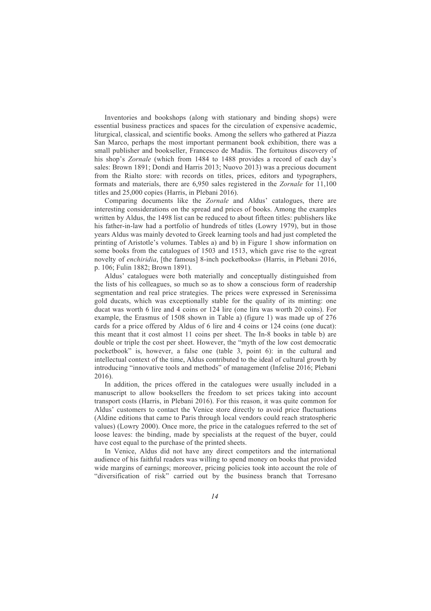Inventories and bookshops (along with stationary and binding shops) were essential business practices and spaces for the circulation of expensive academic, liturgical, classical, and scientific books. Among the sellers who gathered at Piazza San Marco, perhaps the most important permanent book exhibition, there was a small publisher and bookseller, Francesco de Madiis. The fortuitous discovery of his shop's *Zornale* (which from 1484 to 1488 provides a record of each day's sales: Brown 1891; Dondi and Harris 2013; Nuovo 2013) was a precious document from the Rialto store: with records on titles, prices, editors and typographers, formats and materials, there are 6,950 sales registered in the *Zornale* for 11,100 titles and 25,000 copies (Harris, in Plebani 2016).

Comparing documents like the *Zornale* and Aldus' catalogues, there are interesting considerations on the spread and prices of books. Among the examples written by Aldus, the 1498 list can be reduced to about fifteen titles: publishers like his father-in-law had a portfolio of hundreds of titles (Lowry 1979), but in those years Aldus was mainly devoted to Greek learning tools and had just completed the printing of Aristotle's volumes. Tables a) and b) in Figure 1 show information on some books from the catalogues of 1503 and 1513, which gave rise to the «great novelty of *enchiridia*, [the famous] 8-inch pocketbooks» (Harris, in Plebani 2016, p. 106; Fulin 1882; Brown 1891).

Aldus' catalogues were both materially and conceptually distinguished from the lists of his colleagues, so much so as to show a conscious form of readership segmentation and real price strategies. The prices were expressed in Serenissima gold ducats, which was exceptionally stable for the quality of its minting: one ducat was worth 6 lire and 4 coins or 124 lire (one lira was worth 20 coins). For example, the Erasmus of 1508 shown in Table a) (figure 1) was made up of 276 cards for a price offered by Aldus of 6 lire and 4 coins or 124 coins (one ducat): this meant that it cost almost 11 coins per sheet. The In-8 books in table b) are double or triple the cost per sheet. However, the "myth of the low cost democratic pocketbook" is, however, a false one (table 3, point 6): in the cultural and intellectual context of the time, Aldus contributed to the ideal of cultural growth by introducing "innovative tools and methods" of management (Infelise 2016; Plebani 2016).

In addition, the prices offered in the catalogues were usually included in a manuscript to allow booksellers the freedom to set prices taking into account transport costs (Harris, in Plebani 2016). For this reason, it was quite common for Aldus' customers to contact the Venice store directly to avoid price fluctuations (Aldine editions that came to Paris through local vendors could reach stratospheric values) (Lowry 2000). Once more, the price in the catalogues referred to the set of loose leaves: the binding, made by specialists at the request of the buyer, could have cost equal to the purchase of the printed sheets.

In Venice, Aldus did not have any direct competitors and the international audience of his faithful readers was willing to spend money on books that provided wide margins of earnings; moreover, pricing policies took into account the role of "diversification of risk" carried out by the business branch that Torresano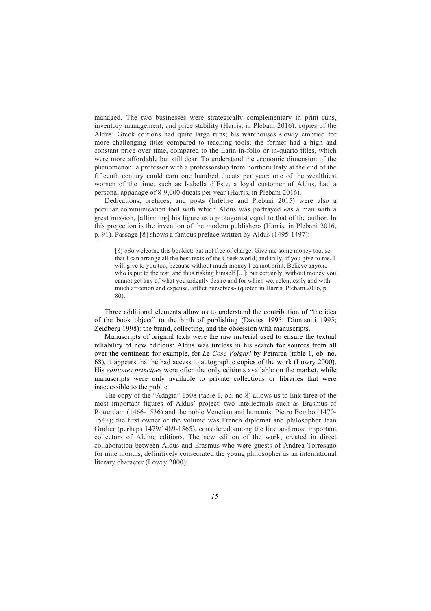managed. The two businesses were strategically complementary in print runs, inventory management, and price stability (Harris, in Plebani 2016): copies of the Aldus' Greek editions had quite large runs; his warehouses slowly emptied for more challenging titles compared to teaching tools; the former had a high and constant price over time, compared to the Latin in-folio or in-quarto titles, which were more affordable but still dear. To understand the economic dimension of the phenomenon: a professor with a professorship from northern Italy at the end of the fifteenth century could earn one hundred ducats per year; one of the wealthiest women of the time, such as Isabella d'Este, a loyal customer of Aldus, had a personal appanage of 8-9,000 ducats per year (Harris, in Plebani 2016).

Dedications, prefaces, and posts (Infelise and Plebani 2015) were also a peculiar communication tool with which Aldus was portrayed «as a man with a great mission, [affirming] his figure as a protagonist equal to that of the author. In this projection is the invention of the modern publisher» (Harris, in Plebani 2016, p. 91). Passage [8] shows a famous preface written by Aldus (1495-1497):

[8] «So welcome this booklet: but not free of charge. Give me some money too, so that I can arrange all the best texts of the Greek world; and truly, if you give to me, I will give to you too, because without much money I cannot print. Believe anyone who is put to the test, and thus risking himself [...]; but certainly, without money you cannot get any of what you ardently desire and for which we, relentlessly and with much affection and expense, afflict ourselves» (quoted in Harris, Plebani 2016, p. 80).

Three additional elements allow us to understand the contribution of "the idea of the book object" to the birth of publishing (Davies 1995; Dionisotti 1995; Zeidberg 1998): the brand, collecting, and the obsession with manuscripts.

Manuscripts of original texts were the raw material used to ensure the textual reliability of new editions: Aldus was tireless in his search for sources from all over the continent: for example, for *L*e *Cose Volgari* by Petrarca (table 1, ob. no. 68), it appears that he had access to autographic copies of the work (Lowry 2000). His *editiones principes* were often the only editions available on the market, while manuscripts were only available to private collections or libraries that were inaccessible to the public.

The copy of the "Adagia" 1508 (table 1, ob. no 8) allows us to link three of the most important figures of Aldus' project: two intellectuals such as Erasmus of Rotterdam (1466-1536) and the noble Venetian and humanist Pietro Bembo (1470- 1547); the first owner of the volume was French diplomat and philosopher Jean Grolier (perhaps 1479/1489-1565), considered among the first and most important collectors of Aldine editions. The new edition of the work, created in direct collaboration between Aldus and Erasmus who were guests of Andrea Torresano for nine months, definitively consecrated the young philosopher as an international literary character (Lowry 2000):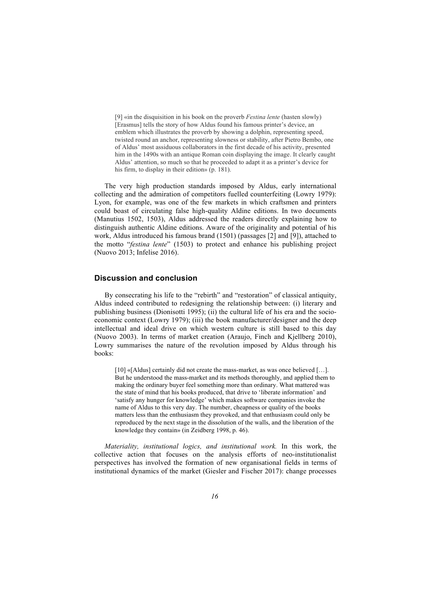[9] «in the disquisition in his book on the proverb *Festina lente* (hasten slowly) [Erasmus] tells the story of how Aldus found his famous printer's device, an emblem which illustrates the proverb by showing a dolphin, representing speed, twisted round an anchor, representing slowness or stability, after Pietro Bembo, one of Aldus' most assiduous collaborators in the first decade of his activity, presented him in the 1490s with an antique Roman coin displaying the image. It clearly caught Aldus' attention, so much so that he proceeded to adapt it as a printer's device for his firm, to display in their edition» (p. 181).

The very high production standards imposed by Aldus, early international collecting and the admiration of competitors fuelled counterfeiting (Lowry 1979): Lyon, for example, was one of the few markets in which craftsmen and printers could boast of circulating false high-quality Aldine editions. In two documents (Manutius 1502, 1503), Aldus addressed the readers directly explaining how to distinguish authentic Aldine editions. Aware of the originality and potential of his work, Aldus introduced his famous brand (1501) (passages [2] and [9]), attached to the motto "*festina lente*" (1503) to protect and enhance his publishing project (Nuovo 2013; Infelise 2016).

#### **Discussion and conclusion**

By consecrating his life to the "rebirth" and "restoration" of classical antiquity, Aldus indeed contributed to redesigning the relationship between: (i) literary and publishing business (Dionisotti 1995); (ii) the cultural life of his era and the socioeconomic context (Lowry 1979); (iii) the book manufacturer/designer and the deep intellectual and ideal drive on which western culture is still based to this day (Nuovo 2003). In terms of market creation (Araujo, Finch and Kjellberg 2010), Lowry summarises the nature of the revolution imposed by Aldus through his books:

[10] «[Aldus] certainly did not create the mass-market, as was once believed [...]. But he understood the mass-market and its methods thoroughly, and applied them to making the ordinary buyer feel something more than ordinary. What mattered was the state of mind that his books produced, that drive to 'liberate information' and 'satisfy any hunger for knowledge' which makes software companies invoke the name of Aldus to this very day. The number, cheapness or quality of the books matters less than the enthusiasm they provoked, and that enthusiasm could only be reproduced by the next stage in the dissolution of the walls, and the liberation of the knowledge they contain» (in Zeidberg 1998, p. 46).

*Materiality, institutional logics, and institutional work.* In this work, the collective action that focuses on the analysis efforts of neo-institutionalist perspectives has involved the formation of new organisational fields in terms of institutional dynamics of the market (Giesler and Fischer 2017): change processes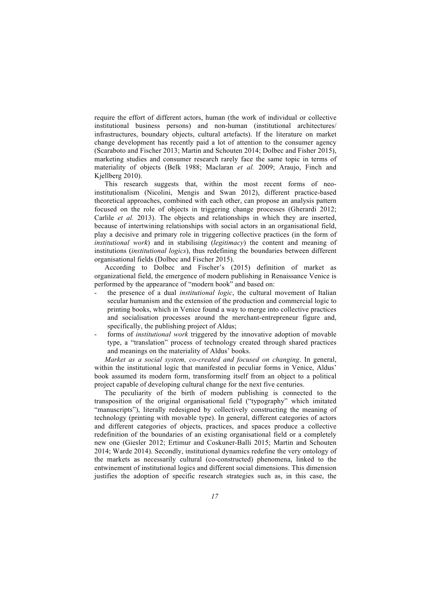require the effort of different actors, human (the work of individual or collective institutional business persons) and non-human (institutional architectures/ infrastructures, boundary objects, cultural artefacts). If the literature on market change development has recently paid a lot of attention to the consumer agency (Scaraboto and Fischer 2013; Martin and Schouten 2014; Dolbec and Fisher 2015), marketing studies and consumer research rarely face the same topic in terms of materiality of objects (Belk 1988; Maclaran *et al.* 2009; Araujo, Finch and Kjellberg 2010).

This research suggests that, within the most recent forms of neoinstitutionalism (Nicolini, Mengis and Swan 2012), different practice-based theoretical approaches, combined with each other, can propose an analysis pattern focused on the role of objects in triggering change processes (Gherardi 2012; Carlile *et al.* 2013). The objects and relationships in which they are inserted, because of intertwining relationships with social actors in an organisational field, play a decisive and primary role in triggering collective practices (in the form of *institutional work*) and in stabilising (*legitimacy*) the content and meaning of institutions (*institutional logics*), thus redefining the boundaries between different organisational fields (Dolbec and Fischer 2015).

According to Dolbec and Fischer's (2015) definition of market as organizational field, the emergence of modern publishing in Renaissance Venice is performed by the appearance of "modern book" and based on:

- the presence of a dual *institutional logic*, the cultural movement of Italian secular humanism and the extension of the production and commercial logic to printing books, which in Venice found a way to merge into collective practices and socialisation processes around the merchant-entrepreneur figure and, specifically, the publishing project of Aldus;
- forms of *institutional work* triggered by the innovative adoption of movable type, a "translation" process of technology created through shared practices and meanings on the materiality of Aldus' books.

*Market as a social system, co-created and focused on changing*. In general, within the institutional logic that manifested in peculiar forms in Venice, Aldus' book assumed its modern form, transforming itself from an object to a political project capable of developing cultural change for the next five centuries.

The peculiarity of the birth of modern publishing is connected to the transposition of the original organisational field ("typography" which imitated "manuscripts"), literally redesigned by collectively constructing the meaning of technology (printing with movable type). In general, different categories of actors and different categories of objects, practices, and spaces produce a collective redefinition of the boundaries of an existing organisational field or a completely new one (Giesler 2012; Ertimur and Coskuner-Balli 2015; Martin and Schouten 2014; Warde 2014). Secondly, institutional dynamics redefine the very ontology of the markets as necessarily cultural (co-constructed) phenomena, linked to the entwinement of institutional logics and different social dimensions. This dimension justifies the adoption of specific research strategies such as, in this case, the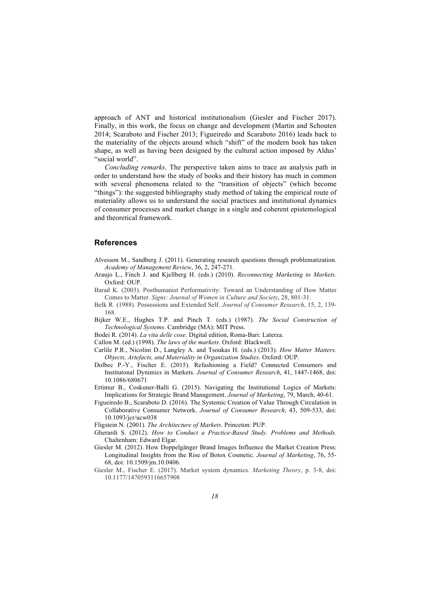approach of ANT and historical institutionalism (Giesler and Fischer 2017). Finally, in this work, the focus on change and development (Martin and Schouten 2014; Scaraboto and Fischer 2013; Figueiredo and Scaraboto 2016) leads back to the materiality of the objects around which "shift" of the modern book has taken shape, as well as having been designed by the cultural action imposed by Aldus' "social world".

*Concluding remarks*. The perspective taken aims to trace an analysis path in order to understand how the study of books and their history has much in common with several phenomena related to the "transition of objects" (which become "things"): the suggested bibliography study method of taking the empirical route of materiality allows us to understand the social practices and institutional dynamics of consumer processes and market change in a single and coherent epistemological and theoretical framework.

### **References**

- Alvesson M., Sandberg J. (2011). Generating research questions through problematization. *Academy of Management Review*, 36, 2, 247-271.
- Araujo L., Finch J. and Kjellberg H. (eds.) (2010). *Reconnecting Marketing to Markets*. Oxford: OUP.
- Barad K. (2003). Posthumanist Performativity: Toward an Understanding of How Matter Comes to Matter. *Signs: Journal of Women in Culture and Society*, 28, 801-31.
- Belk R. (1988). Possessions and Extended Self. *Journal of Consumer Research*, 15, 2, 139- 168.
- Bijker W.E., Hughes T.P. and Pinch T. (eds.) (1987). *The Social Construction of Technological Systems*. Cambridge (MA): MIT Press.
- Bodei R. (2014). *La vita delle cose*. Digital edition, Roma-Bari: Laterza.
- Callon M. (ed.) (1998). *The laws of the markets*. Oxford: Blackwell.
- Carlile P.R., Nicolini D., Langley A. and Tsoukas H. (eds.) (2013). *How Matter Matters. Objects, Artefacts, and Materiality in Organization Studies*. Oxford: OUP.
- Dolbec P.-Y., Fischer E. (2015). Refashioning a Field? Connected Consumers and Institutonal Dynimics in Markets. *Journal of Consumer Research*, 41, 1447-1468, doi: 10.1086/680671
- Ertimur B., Coskuner-Balli G. (2015). Navigating the Institutional Logics of Markets: Implications for Strategic Brand Management. *Journal of Marketing*, 79, March, 40-61.
- Figueiredo B., Scaraboto D. (2016). The Systemic Creation of Value Through Circulation in Collaborative Consumer Network. *Journal of Consumer Research*, 43, 509-533, doi: 10.1093/jcr/ucw038
- Fligstein N. (2001). *The Architecture of Markets*. Princeton: PUP.
- Gherardi S. (2012). *How to Conduct a Practice-Based Study. Problems and Methods.*  Chaltenham: Edward Elgar.
- Giesler M. (2012). How Doppelgänger Brand Images Influence the Market Creation Press: Longitudinal Insights from the Rise of Botox Cosmetic. *Journal of Marketing*, 76, 55- 68, doi: 10.1509/jm.10.0406.
- Giesler M., Fischer E. (2017). Market system dynamics. *Marketing Theory*, p. 3-8, doi: 10.1177/1470593116657908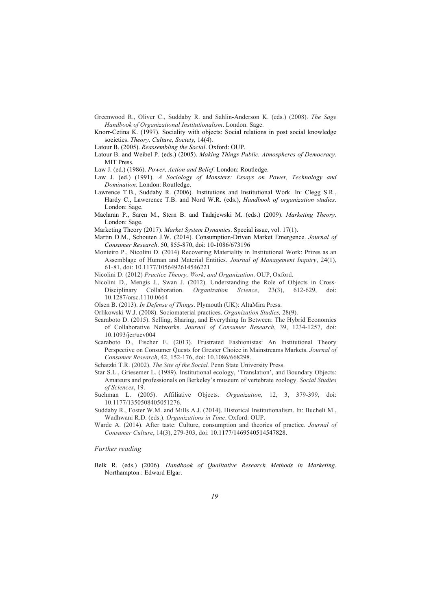- Greenwood R., Oliver C., Suddaby R. and Sahlin-Anderson K. (eds.) (2008). *The Sage Handbook of Organizational Institutionalism*. London: Sage.
- Knorr-Cetina K. (1997). Sociality with objects: Social relations in post social knowledge societies. *Theory, Culture, Society,* 14(4).
- Latour B. (2005). *Reassembling the Social*. Oxford: OUP.
- Latour B. and Weibel P. (eds.) (2005). *Making Things Public. Atmospheres of Democracy*. MIT Press.
- Law J. (ed.) (1986). *Power, Action and Belief*. London: Routledge.
- Law J. (ed.) (1991). *A Sociology of Monsters: Essays on Power, Technology and Domination*. London: Routledge.
- Lawrence T.B., Suddaby R. (2006). Institutions and Institutional Work. In: Clegg S.R., Hardy C., Lawerence T.B. and Nord W.R. (eds.), *Handbook of organization studies*. London: Sage.
- Maclaran P., Saren M., Stern B. and Tadajewski M. (eds.) (2009). *Marketing Theory*. London: Sage.
- Marketing Theory (2017). *Market System Dynamics*. Special issue, vol. 17(1).
- Martin D.M., Schouten J.W. (2014). Consumption-Driven Market Emergence. *Journal of Consumer Research*. 50, 855-870, doi: 10-1086/673196
- Monteiro P., Nicolini D. (2014) Recovering Materiality in Institutional Work: Prizes as an Assemblage of Human and Material Entities. *Journal of Management Inquiry*, 24(1), 61-81, doi: 10.1177/1056492614546221
- Nicolini D. (2012) *Practice Theory, Work, and Organization*. OUP, Oxford.
- Nicolini D., Mengis J., Swan J. (2012). Understanding the Role of Objects in Cross-Disciplinary Collaboration. *Organization Science*, 23(3), 612-629, doi: 10.1287/orsc.1110.0664
- Olsen B. (2013). *In Defense of Things*. Plymouth (UK): AltaMira Press.
- Orlikowski W.J. (2008). Sociomaterial practices. *Organization Studies,* 28(9).
- Scaraboto D. (2015). Selling, Sharing, and Everything In Between: The Hybrid Economies of Collaborative Networks. *Journal of Consumer Research*, 39, 1234-1257, doi: 10.1093/jcr/ucv004
- Scaraboto D., Fischer E. (2013). Frustrated Fashionistas: An Institutional Theory Perspective on Consumer Quests for Greater Choice in Mainstreams Markets. *Journal of Consumer Research*, 42, 152-176, doi: 10.1086/668298.
- Schatzki T.R. (2002). *The Site of the Social.* Penn State University Press.
- Star S.L., Griesemer L. (1989). Institutional ecology, 'Translation', and Boundary Objects: Amateurs and professionals on Berkeley's museum of vertebrate zoology. *Social Studies of Sciences*, 19.
- Suchman L. (2005). Affiliative Objects. *Organization*, 12, 3, 379-399, doi: 10.1177/1350508405051276.
- Suddaby R., Foster W.M. and Mills A.J. (2014). Historical Institutionalism. In: Bucheli M., Wadhwani R.D. (eds.). *Organizations in Time*. Oxford: OUP.
- Warde A. (2014). After taste: Culture, consumption and theories of practice. *Journal of Consumer Culture*, 14(3), 279-303, doi: 10.1177/1469540514547828.

#### *Further reading*

Belk R. (eds.) (2006). *Handbook of Qualitative Research Methods in Marketing*. Northampton : Edward Elgar.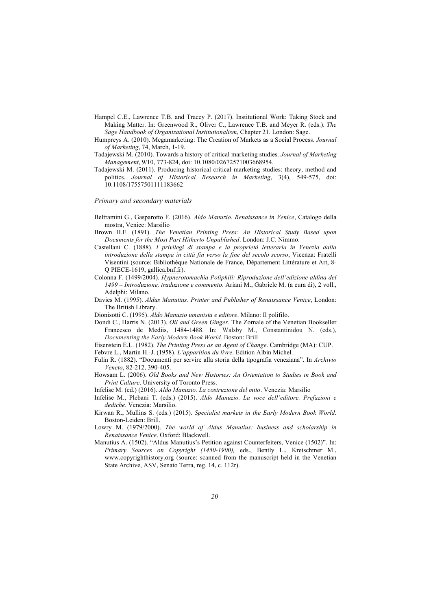- Hampel C.E., Lawrence T.B. and Tracey P. (2017). Institutional Work: Taking Stock and Making Matter. In: Greenwood R., Oliver C., Lawrence T.B. and Meyer R. (eds.). *The Sage Handbook of Organizational Institutionalism*, Chapter 21. London: Sage.
- Humpreys A. (2010). Megamarketing: The Creation of Markets as a Social Process. *Journal of Marketing*, 74, March, 1-19.
- Tadajewski M. (2010). Towards a history of critical marketing studies. *Journal of Marketing Management*, 9/10, 773-824, doi: 10.1080/02672571003668954.
- Tadajewski M. (2011). Producing historical critical marketing studies: theory, method and politics. *Journal of Historical Research in Marketing*, 3(4), 549-575, doi: 10.1108/17557501111183662

#### *Primary and secondary materials*

- Beltramini G., Gasparotto F. (2016). *Aldo Manuzio. Renaissance in Venice*, Catalogo della mostra, Venice: Marsilio
- Brown H.F. (1891). *The Venetian Printing Press: An Historical Study Based upon Documents for the Most Part Hitherto Unpublished*. London: J.C. Nimmo.
- Castellani C. (1888). *I privilegi di stampa e la proprietà letteraria in Venezia dalla introduzione della stampa in città fin verso la fine del secolo scorso*, Vicenza: Fratelli Visentini (source: Bibliothèque Nationale de France, Département Littérature et Art, 8- Q PIECE-1619, gallica.bnf.fr).
- Colonna F. (1499/2004). *Hypnerotomachia Poliphili: Riproduzione dell'edizione aldina del 1499 – Introduzione, traduzione e commento*. Ariani M., Gabriele M. (a cura di), 2 voll., Adelphi: Milano.
- Davies M. (1995). *Aldus Manutius. Printer and Publisher of Renaissance Venice*, London: The British Library.
- Dionisotti C. (1995). *Aldo Manuzio umanista e editore*. Milano: Il polifilo.
- Dondi C., Harris N. (2013). *Oil and Green Ginger*. The Zornale of the Venetian Bookseller Francesco de Mediis, 1484-1488. In: Walsby M., Constantinidou N. (eds.), *Documenting the Early Modern Book World.* Boston: Brill

Eisenstein E.L. (1982). *The Printing Press as an Agent of Change*. Cambridge (MA): CUP.

Febvre L., Martin H.-J. (1958). *L'apparition du livre*. Edition Albin Michel.

- Fulin R. (1882). "Documenti per servire alla storia della tipografia veneziana". In *Archivio Veneto*, 82-212, 390-405.
- Howsam L. (2006). *Old Books and New Histories: An Orientation to Studies in Book and Print Culture*. University of Toronto Press.
- Infelise M. (ed.) (2016). *Aldo Manuzio. La costruzione del mito*. Venezia: Marsilio
- Infelise M., Plebani T. (eds.) (2015). *Aldo Manuzio. La voce dell'editore. Prefazioni e dediche*. Venezia: Marsilio.
- Kirwan R., Mullins S. (eds.) (2015). *Specialist markets in the Early Modern Book World*. Boston-Leiden: Brill.
- Lowry M. (1979/2000). *The world of Aldus Manutius: business and scholarship in Renaissance Venice*. Oxford: Blackwell.
- Manutius A. (1502). "Aldus Manutius's Petition against Counterfeiters, Venice (1502)". In: *Primary Sources on Copyright (1450-1900),* eds., Bently L., Kretschmer M., www.copyrighthistory.org (source: scanned from the manuscript held in the Venetian State Archive, ASV, Senato Terra, reg. 14, c. 112r).